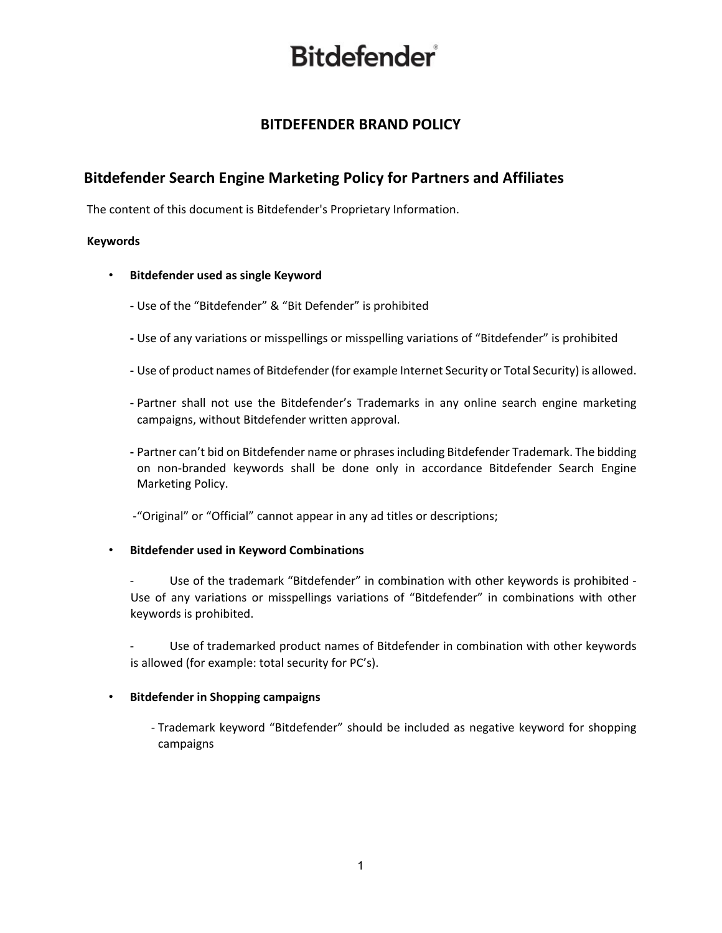## **BITDEFENDER BRAND POLICY**

## **Bitdefender Search Engine Marketing Policy for Partners and Affiliates**

The content of this document is Bitdefender's Proprietary Information.

### **Keywords**

- **Bitdefender used as single Keyword**
	- **-** Use of the "Bitdefender" & "Bit Defender" is prohibited
	- **-** Use of any variations or misspellings or misspelling variations of "Bitdefender" is prohibited
	- **-** Use of product names of Bitdefender (for example Internet Security or Total Security) is allowed.
	- **-** Partner shall not use the Bitdefender's Trademarks in any online search engine marketing campaigns, without Bitdefender written approval.
	- **-** Partner can't bid on Bitdefender name or phrases including Bitdefender Trademark. The bidding on non-branded keywords shall be done only in accordance Bitdefender Search Engine Marketing Policy.
	- -"Original" or "Official" cannot appear in any ad titles or descriptions;

### • **Bitdefender used in Keyword Combinations**

- Use of the trademark "Bitdefender" in combination with other keywords is prohibited Use of any variations or misspellings variations of "Bitdefender" in combinations with other keywords is prohibited.
- Use of trademarked product names of Bitdefender in combination with other keywords is allowed (for example: total security for PC's).

## • **Bitdefender in Shopping campaigns**

- Trademark keyword "Bitdefender" should be included as negative keyword for shopping campaigns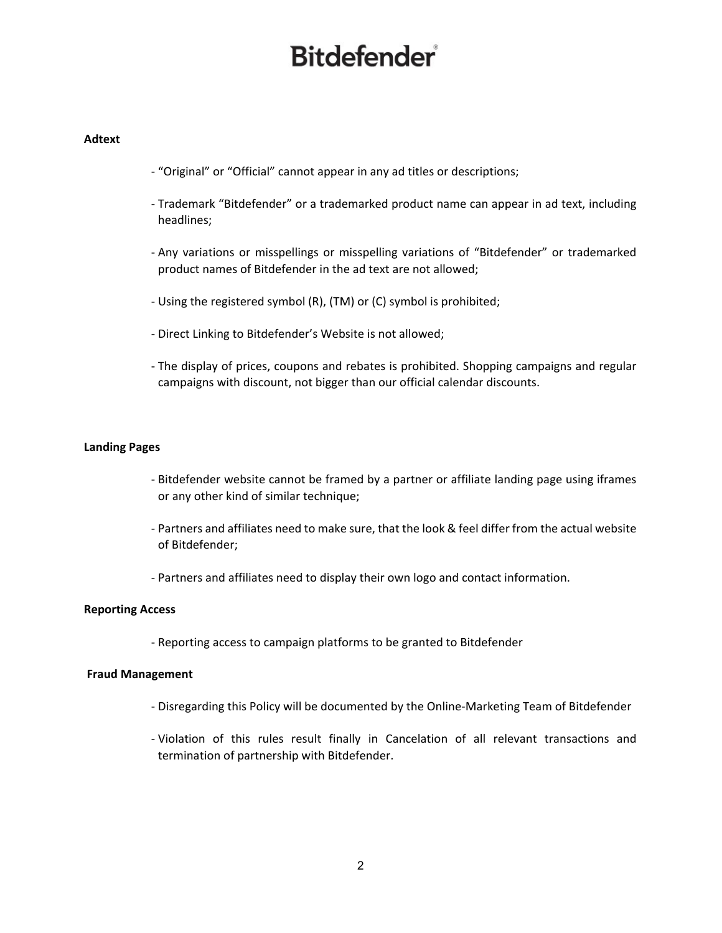#### **Adtext**

- "Original" or "Official" cannot appear in any ad titles or descriptions;
- Trademark "Bitdefender" or a trademarked product name can appear in ad text, including headlines;
- Any variations or misspellings or misspelling variations of "Bitdefender" or trademarked product names of Bitdefender in the ad text are not allowed;
- Using the registered symbol (R), (TM) or (C) symbol is prohibited;
- Direct Linking to Bitdefender's Website is not allowed;
- The display of prices, coupons and rebates is prohibited. Shopping campaigns and regular campaigns with discount, not bigger than our official calendar discounts.

### **Landing Pages**

- Bitdefender website cannot be framed by a partner or affiliate landing page using iframes or any other kind of similar technique;
- Partners and affiliates need to make sure, that the look & feel differ from the actual website of Bitdefender;
- Partners and affiliates need to display their own logo and contact information.

#### **Reporting Access**

- Reporting access to campaign platforms to be granted to Bitdefender

#### **Fraud Management**

- Disregarding this Policy will be documented by the Online-Marketing Team of Bitdefender
- Violation of this rules result finally in Cancelation of all relevant transactions and termination of partnership with Bitdefender.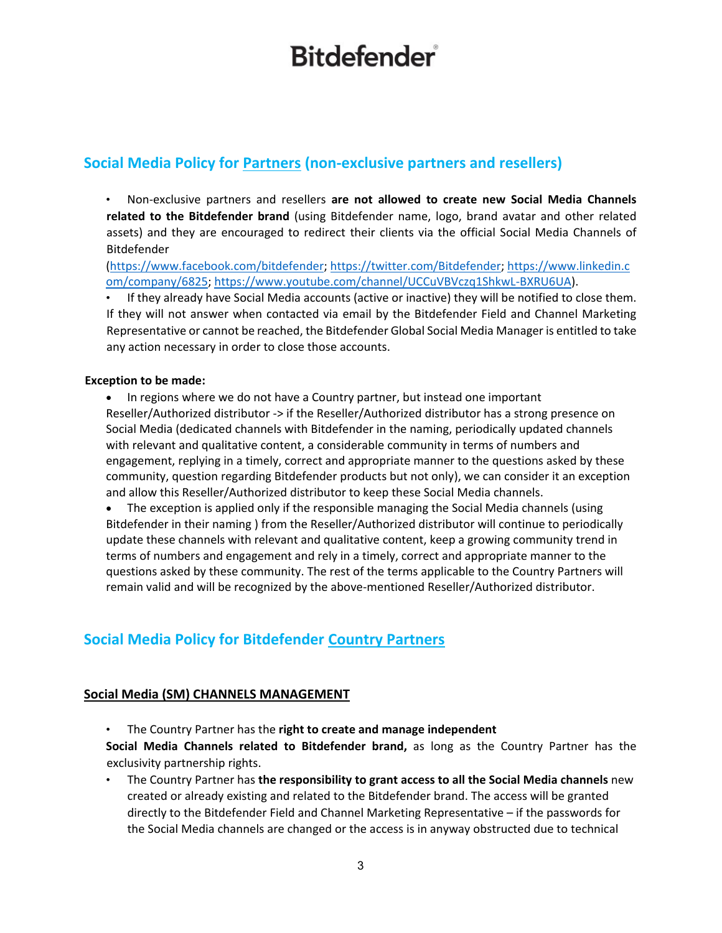## **Social Media Policy for Partners (non-exclusive partners and resellers)**

• Non-exclusive partners and resellers **are not allowed to create new Social Media Channels related to the Bitdefender brand** (using Bitdefender name, logo, brand avatar and other related assets) and they are encouraged to redirect their clients via the official Social Media Channels of Bitdefender

[\(https://www.facebook.com/bitdefender;](https://www.facebook.com/bitdefender) [https://twitter.com/Bitdefender;](https://twitter.com/Bitdefender) [https://www.linkedin.c](https://www.linkedin.com/company/6825)  [om/company/6825;](https://www.linkedin.com/company/6825) [https://www.youtube.com/channel/UCCuVBVczq1ShkwL-BXRU6UA\).](https://www.youtube.com/channel/UCCuVBVczq1ShkwL-BXRU6UA)

• If they already have Social Media accounts (active or inactive) they will be notified to close them. If they will not answer when contacted via email by the Bitdefender Field and Channel Marketing Representative or cannot be reached, the Bitdefender Global Social Media Manager is entitled to take any action necessary in order to close those accounts.

## **Exception to be made:**

• In regions where we do not have a Country partner, but instead one important Reseller/Authorized distributor -> if the Reseller/Authorized distributor has a strong presence on Social Media (dedicated channels with Bitdefender in the naming, periodically updated channels with relevant and qualitative content, a considerable community in terms of numbers and engagement, replying in a timely, correct and appropriate manner to the questions asked by these community, question regarding Bitdefender products but not only), we can consider it an exception and allow this Reseller/Authorized distributor to keep these Social Media channels.

• The exception is applied only if the responsible managing the Social Media channels (using Bitdefender in their naming ) from the Reseller/Authorized distributor will continue to periodically update these channels with relevant and qualitative content, keep a growing community trend in terms of numbers and engagement and rely in a timely, correct and appropriate manner to the questions asked by these community. The rest of the terms applicable to the Country Partners will remain valid and will be recognized by the above-mentioned Reseller/Authorized distributor.

## **Social Media Policy for Bitdefender Country Partners**

## **Social Media (SM) CHANNELS MANAGEMENT**

• The Country Partner has the **right to create and manage independent** 

**Social Media Channels related to Bitdefender brand,** as long as the Country Partner has the exclusivity partnership rights.

• The Country Partner has **the responsibility to grant access to all the Social Media channels** new created or already existing and related to the Bitdefender brand. The access will be granted directly to the Bitdefender Field and Channel Marketing Representative – if the passwords for the Social Media channels are changed or the access is in anyway obstructed due to technical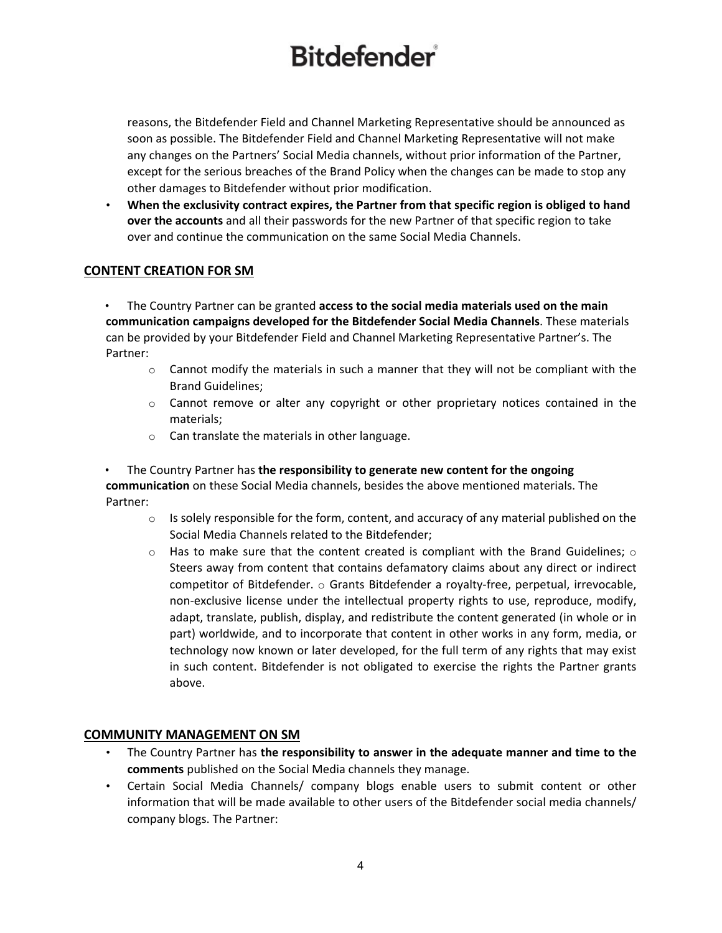reasons, the Bitdefender Field and Channel Marketing Representative should be announced as soon as possible. The Bitdefender Field and Channel Marketing Representative will not make any changes on the Partners' Social Media channels, without prior information of the Partner, except for the serious breaches of the Brand Policy when the changes can be made to stop any other damages to Bitdefender without prior modification.

• **When the exclusivity contract expires, the Partner from that specific region is obliged to hand over the accounts** and all their passwords for the new Partner of that specific region to take over and continue the communication on the same Social Media Channels.

## **CONTENT CREATION FOR SM**

• The Country Partner can be granted **access to the social media materials used on the main communication campaigns developed for the Bitdefender Social Media Channels**. These materials can be provided by your Bitdefender Field and Channel Marketing Representative Partner's. The Partner:

- $\circ$  Cannot modify the materials in such a manner that they will not be compliant with the Brand Guidelines;
- $\circ$  Cannot remove or alter any copyright or other proprietary notices contained in the materials;
- o Can translate the materials in other language.

• The Country Partner has **the responsibility to generate new content for the ongoing communication** on these Social Media channels, besides the above mentioned materials. The Partner:

- $\circ$  Is solely responsible for the form, content, and accuracy of any material published on the Social Media Channels related to the Bitdefender;
- $\circ$  Has to make sure that the content created is compliant with the Brand Guidelines;  $\circ$ Steers away from content that contains defamatory claims about any direct or indirect competitor of Bitdefender.  $\circ$  Grants Bitdefender a royalty-free, perpetual, irrevocable, non-exclusive license under the intellectual property rights to use, reproduce, modify, adapt, translate, publish, display, and redistribute the content generated (in whole or in part) worldwide, and to incorporate that content in other works in any form, media, or technology now known or later developed, for the full term of any rights that may exist in such content. Bitdefender is not obligated to exercise the rights the Partner grants above.

### **COMMUNITY MANAGEMENT ON SM**

- The Country Partner has **the responsibility to answer in the adequate manner and time to the comments** published on the Social Media channels they manage.
- Certain Social Media Channels/ company blogs enable users to submit content or other information that will be made available to other users of the Bitdefender social media channels/ company blogs. The Partner: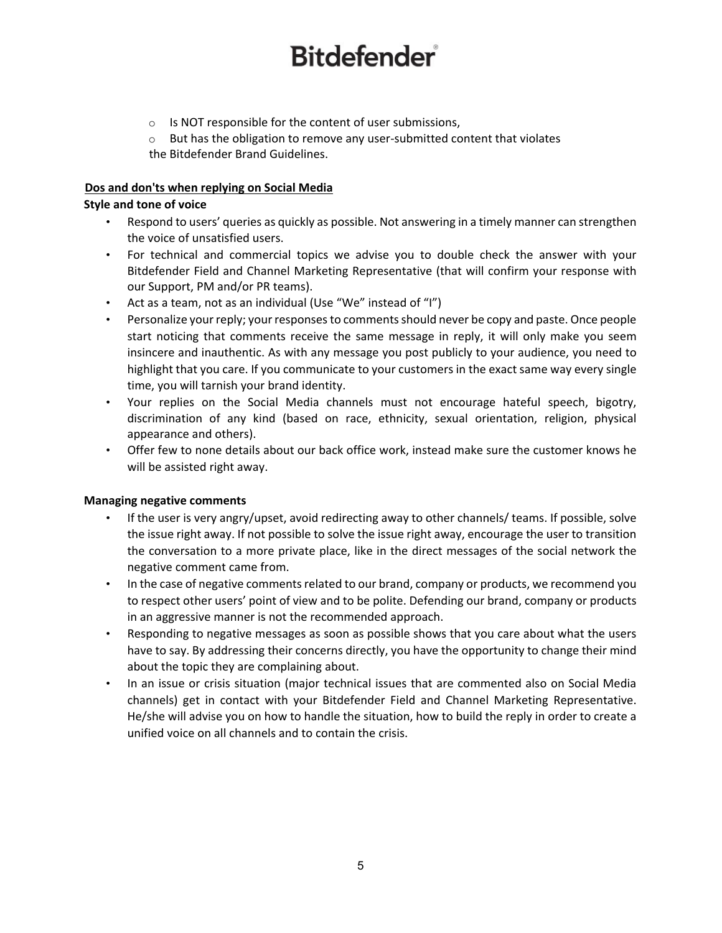- o Is NOT responsible for the content of user submissions,
- $\circ$  But has the obligation to remove any user-submitted content that violates the Bitdefender Brand Guidelines.

### **Dos and don'ts when replying on Social Media**

### **Style and tone of voice**

- Respond to users' queries as quickly as possible. Not answering in a timely manner can strengthen the voice of unsatisfied users.
- For technical and commercial topics we advise you to double check the answer with your Bitdefender Field and Channel Marketing Representative (that will confirm your response with our Support, PM and/or PR teams).
- Act as a team, not as an individual (Use "We" instead of "I")
- Personalize your reply; your responses to comments should never be copy and paste. Once people start noticing that comments receive the same message in reply, it will only make you seem insincere and inauthentic. As with any message you post publicly to your audience, you need to highlight that you care. If you communicate to your customers in the exact same way every single time, you will tarnish your brand identity.
- Your replies on the Social Media channels must not encourage hateful speech, bigotry, discrimination of any kind (based on race, ethnicity, sexual orientation, religion, physical appearance and others).
- Offer few to none details about our back office work, instead make sure the customer knows he will be assisted right away.

### **Managing negative comments**

- If the user is very angry/upset, avoid redirecting away to other channels/ teams. If possible, solve the issue right away. If not possible to solve the issue right away, encourage the user to transition the conversation to a more private place, like in the direct messages of the social network the negative comment came from.
- In the case of negative comments related to our brand, company or products, we recommend you to respect other users' point of view and to be polite. Defending our brand, company or products in an aggressive manner is not the recommended approach.
- Responding to negative messages as soon as possible shows that you care about what the users have to say. By addressing their concerns directly, you have the opportunity to change their mind about the topic they are complaining about.
- In an issue or crisis situation (major technical issues that are commented also on Social Media channels) get in contact with your Bitdefender Field and Channel Marketing Representative. He/she will advise you on how to handle the situation, how to build the reply in order to create a unified voice on all channels and to contain the crisis.